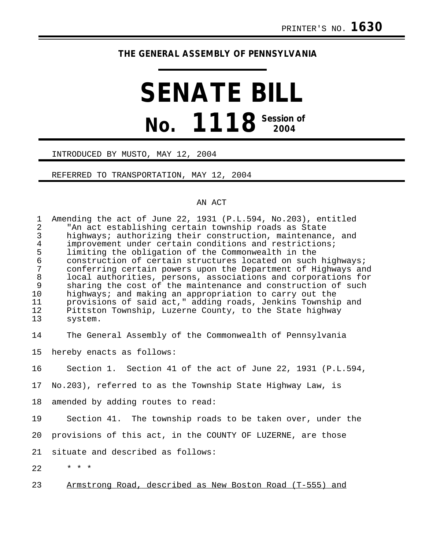# **THE GENERAL ASSEMBLY OF PENNSYLVANIA**

# **SENATE BILL No. 1118 Session of 2004**

#### INTRODUCED BY MUSTO, MAY 12, 2004

## REFERRED TO TRANSPORTATION, MAY 12, 2004

## AN ACT

| $\mathbf 1$<br>$\overline{2}$<br>$\mathsf{3}$<br>$\overline{4}$<br>5<br>$\epsilon$<br>$\overline{7}$<br>$\,8\,$<br>9<br>10<br>11<br>12<br>13 | Amending the act of June 22, 1931 (P.L.594, No.203), entitled<br>"An act establishing certain township roads as State<br>highways; authorizing their construction, maintenance, and<br>improvement under certain conditions and restrictions;<br>limiting the obligation of the Commonwealth in the<br>construction of certain structures located on such highways;<br>conferring certain powers upon the Department of Highways and<br>local authorities, persons, associations and corporations for<br>sharing the cost of the maintenance and construction of such<br>highways; and making an appropriation to carry out the<br>provisions of said act," adding roads, Jenkins Township and<br>Pittston Township, Luzerne County, to the State highway<br>system. |
|----------------------------------------------------------------------------------------------------------------------------------------------|----------------------------------------------------------------------------------------------------------------------------------------------------------------------------------------------------------------------------------------------------------------------------------------------------------------------------------------------------------------------------------------------------------------------------------------------------------------------------------------------------------------------------------------------------------------------------------------------------------------------------------------------------------------------------------------------------------------------------------------------------------------------|
| 14                                                                                                                                           | The General Assembly of the Commonwealth of Pennsylvania                                                                                                                                                                                                                                                                                                                                                                                                                                                                                                                                                                                                                                                                                                             |
| 15                                                                                                                                           | hereby enacts as follows:                                                                                                                                                                                                                                                                                                                                                                                                                                                                                                                                                                                                                                                                                                                                            |
| 16                                                                                                                                           | Section 1. Section 41 of the act of June 22, 1931 (P.L.594,                                                                                                                                                                                                                                                                                                                                                                                                                                                                                                                                                                                                                                                                                                          |
| 17                                                                                                                                           | No.203), referred to as the Township State Highway Law, is                                                                                                                                                                                                                                                                                                                                                                                                                                                                                                                                                                                                                                                                                                           |
| 18                                                                                                                                           | amended by adding routes to read:                                                                                                                                                                                                                                                                                                                                                                                                                                                                                                                                                                                                                                                                                                                                    |
| 19                                                                                                                                           | Section 41. The township roads to be taken over, under the                                                                                                                                                                                                                                                                                                                                                                                                                                                                                                                                                                                                                                                                                                           |
| 20                                                                                                                                           | provisions of this act, in the COUNTY OF LUZERNE, are those                                                                                                                                                                                                                                                                                                                                                                                                                                                                                                                                                                                                                                                                                                          |
| 21                                                                                                                                           | situate and described as follows:                                                                                                                                                                                                                                                                                                                                                                                                                                                                                                                                                                                                                                                                                                                                    |
| 22                                                                                                                                           | $* * *$                                                                                                                                                                                                                                                                                                                                                                                                                                                                                                                                                                                                                                                                                                                                                              |
| 23                                                                                                                                           | Armstrong Road, described as New Boston Road (T-555) and                                                                                                                                                                                                                                                                                                                                                                                                                                                                                                                                                                                                                                                                                                             |